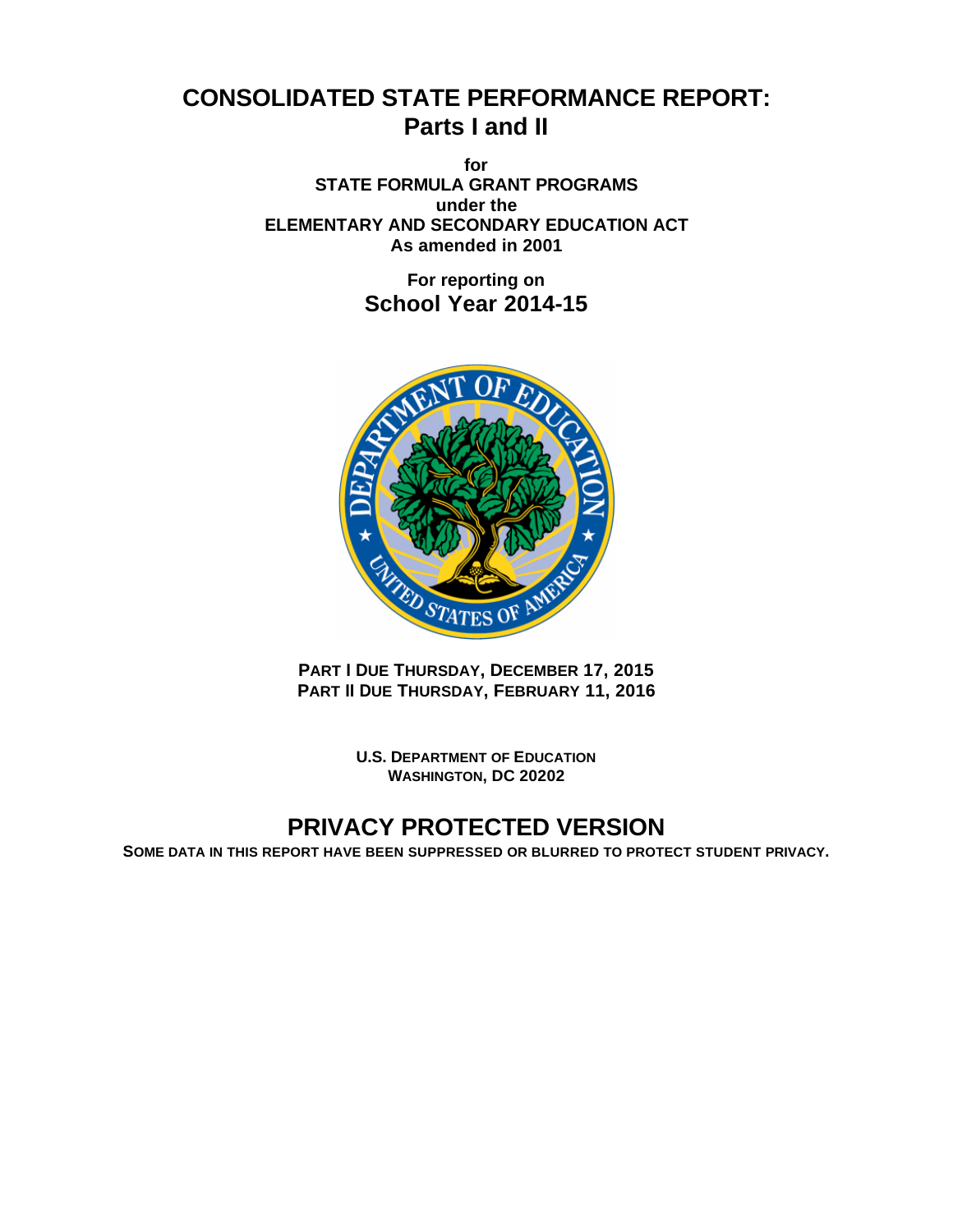# **CONSOLIDATED STATE PERFORMANCE REPORT: Parts I and II**

**for STATE FORMULA GRANT PROGRAMS under the ELEMENTARY AND SECONDARY EDUCATION ACT As amended in 2001**

> **For reporting on School Year 2014-15**



**PART I DUE THURSDAY, DECEMBER 17, 2015 PART II DUE THURSDAY, FEBRUARY 11, 2016** 

> **U.S. DEPARTMENT OF EDUCATION WASHINGTON, DC 20202**

# **PRIVACY PROTECTED VERSION**

**SOME DATA IN THIS REPORT HAVE BEEN SUPPRESSED OR BLURRED TO PROTECT STUDENT PRIVACY.**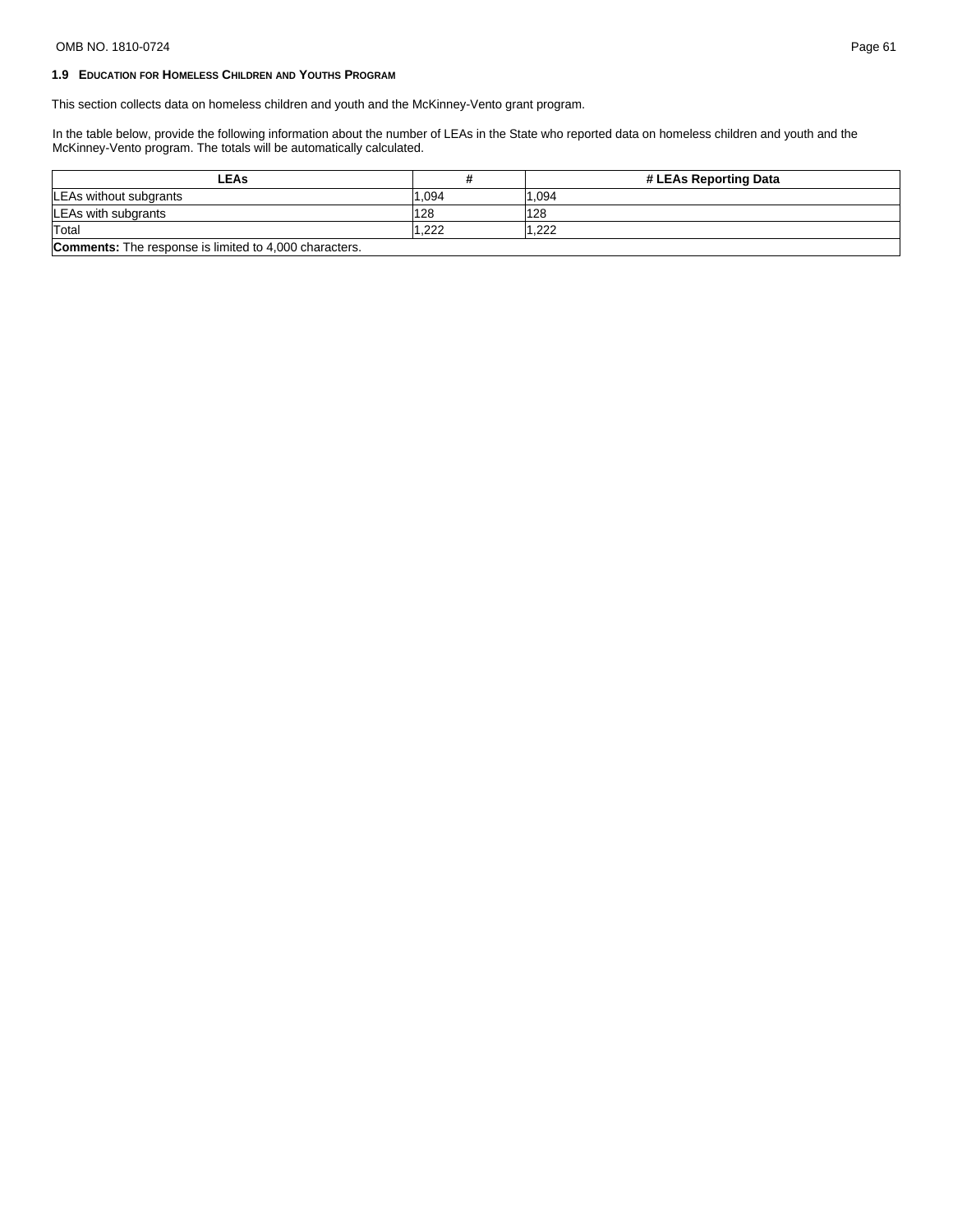# OMB NO. 1810-0724 Page 61

# **1.9 EDUCATION FOR HOMELESS CHILDREN AND YOUTHS PROGRAM**

This section collects data on homeless children and youth and the McKinney-Vento grant program.

In the table below, provide the following information about the number of LEAs in the State who reported data on homeless children and youth and the McKinney-Vento program. The totals will be automatically calculated.

| -EAs                                                          |        | # LEAs Reporting Data |
|---------------------------------------------------------------|--------|-----------------------|
| LEAs without subgrants                                        | '1.094 | 1.094                 |
| LEAs with subgrants                                           | 128    | 128                   |
| Total                                                         | .222   | .222                  |
| <b>Comments:</b> The response is limited to 4,000 characters. |        |                       |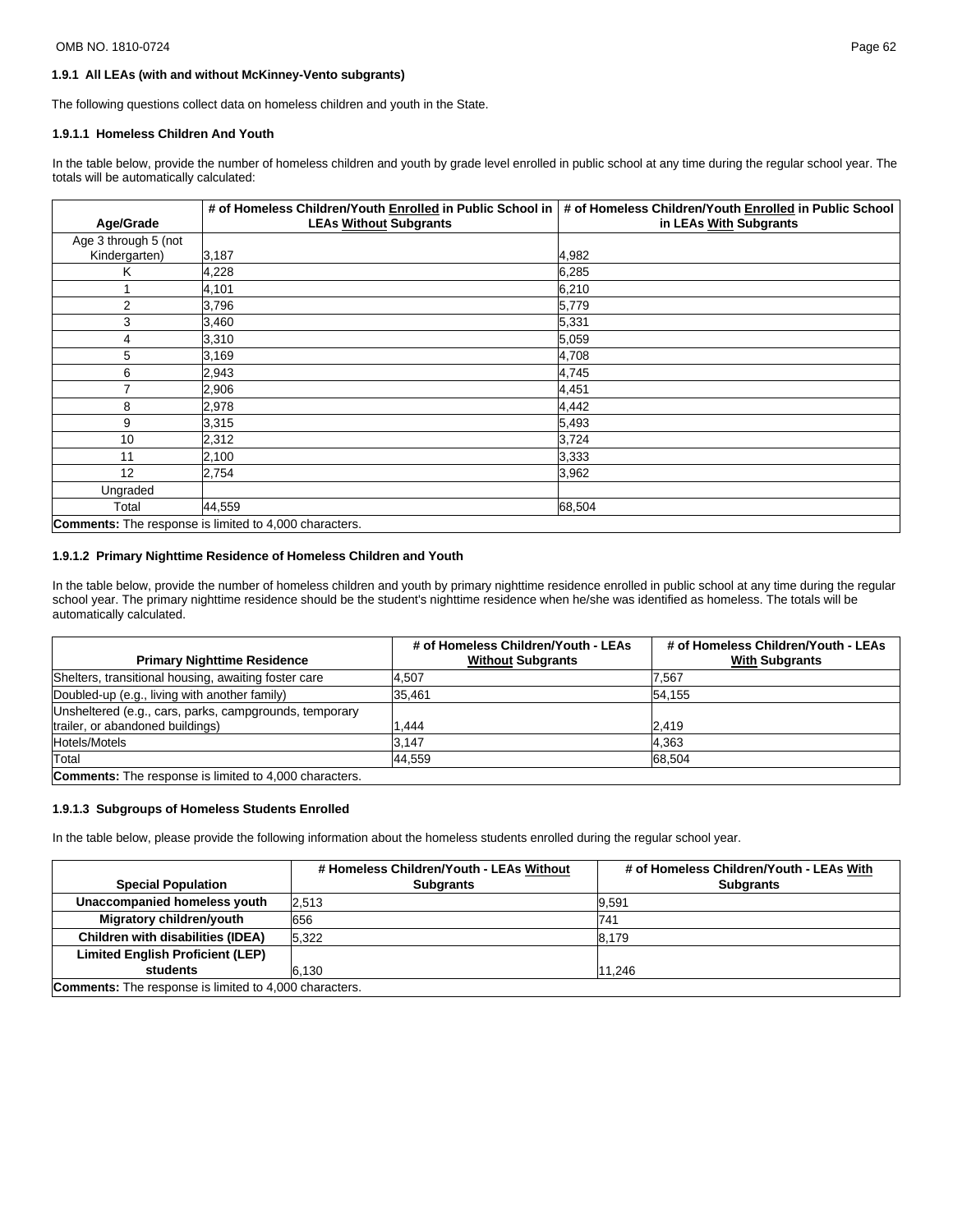#### OMB NO. 1810-0724 Page 62

# **1.9.1 All LEAs (with and without McKinney-Vento subgrants)**

The following questions collect data on homeless children and youth in the State.

#### **1.9.1.1 Homeless Children And Youth**

In the table below, provide the number of homeless children and youth by grade level enrolled in public school at any time during the regular school year. The totals will be automatically calculated:

|                      | # of Homeless Children/Youth Enrolled in Public School in     | # of Homeless Children/Youth Enrolled in Public School |
|----------------------|---------------------------------------------------------------|--------------------------------------------------------|
| Age/Grade            | <b>LEAs Without Subgrants</b>                                 | in LEAs With Subgrants                                 |
| Age 3 through 5 (not |                                                               |                                                        |
| Kindergarten)        | 3,187                                                         | 4,982                                                  |
| Κ                    | 4,228                                                         | 6,285                                                  |
| 1                    | 4,101                                                         | 6,210                                                  |
| 2                    | 3,796                                                         | 5,779                                                  |
| 3                    | 3,460                                                         | 5,331                                                  |
| 4                    | 3,310                                                         | 5.059                                                  |
| 5                    | 3,169                                                         | 4,708                                                  |
| 6                    | 2,943                                                         | 4,745                                                  |
| 7                    | 2,906                                                         | 4,451                                                  |
| 8                    | 2,978                                                         | 4,442                                                  |
| 9                    | 3,315                                                         | 5,493                                                  |
| 10                   | 2,312                                                         | 3,724                                                  |
| 11                   | 2,100                                                         | 3,333                                                  |
| 12                   | 2,754                                                         | 3,962                                                  |
| Ungraded             |                                                               |                                                        |
| Total                | 44,559                                                        | 68,504                                                 |
|                      | <b>Comments:</b> The response is limited to 4,000 characters. |                                                        |

# **1.9.1.2 Primary Nighttime Residence of Homeless Children and Youth**

In the table below, provide the number of homeless children and youth by primary nighttime residence enrolled in public school at any time during the regular school year. The primary nighttime residence should be the student's nighttime residence when he/she was identified as homeless. The totals will be automatically calculated.

|                                                               | # of Homeless Children/Youth - LEAs | # of Homeless Children/Youth - LEAs |
|---------------------------------------------------------------|-------------------------------------|-------------------------------------|
| <b>Primary Nighttime Residence</b>                            | <b>Without Subgrants</b>            | <b>With Subgrants</b>               |
| Shelters, transitional housing, awaiting foster care          | 4.507                               | 7.567                               |
| Doubled-up (e.g., living with another family)                 | 35.461                              | 54.155                              |
| Unsheltered (e.g., cars, parks, campgrounds, temporary        |                                     |                                     |
| trailer, or abandoned buildings)                              | .444                                | 2.419                               |
| Hotels/Motels                                                 | 3.147                               | 4.363                               |
| Total                                                         | 44,559                              | 68.504                              |
| <b>Comments:</b> The response is limited to 4,000 characters. |                                     |                                     |

#### **1.9.1.3 Subgroups of Homeless Students Enrolled**

In the table below, please provide the following information about the homeless students enrolled during the regular school year.

|                                                               | # Homeless Children/Youth - LEAs Without | # of Homeless Children/Youth - LEAs With |  |  |  |
|---------------------------------------------------------------|------------------------------------------|------------------------------------------|--|--|--|
| <b>Special Population</b>                                     | <b>Subgrants</b>                         | <b>Subgrants</b>                         |  |  |  |
| Unaccompanied homeless youth                                  | 2.513                                    | 9.591                                    |  |  |  |
| Migratory children/youth                                      | 656                                      | 741                                      |  |  |  |
| Children with disabilities (IDEA)                             | 5.322                                    | 8.179                                    |  |  |  |
| <b>Limited English Proficient (LEP)</b>                       |                                          |                                          |  |  |  |
| students                                                      | 6.130                                    | 11,246                                   |  |  |  |
| <b>Comments:</b> The response is limited to 4,000 characters. |                                          |                                          |  |  |  |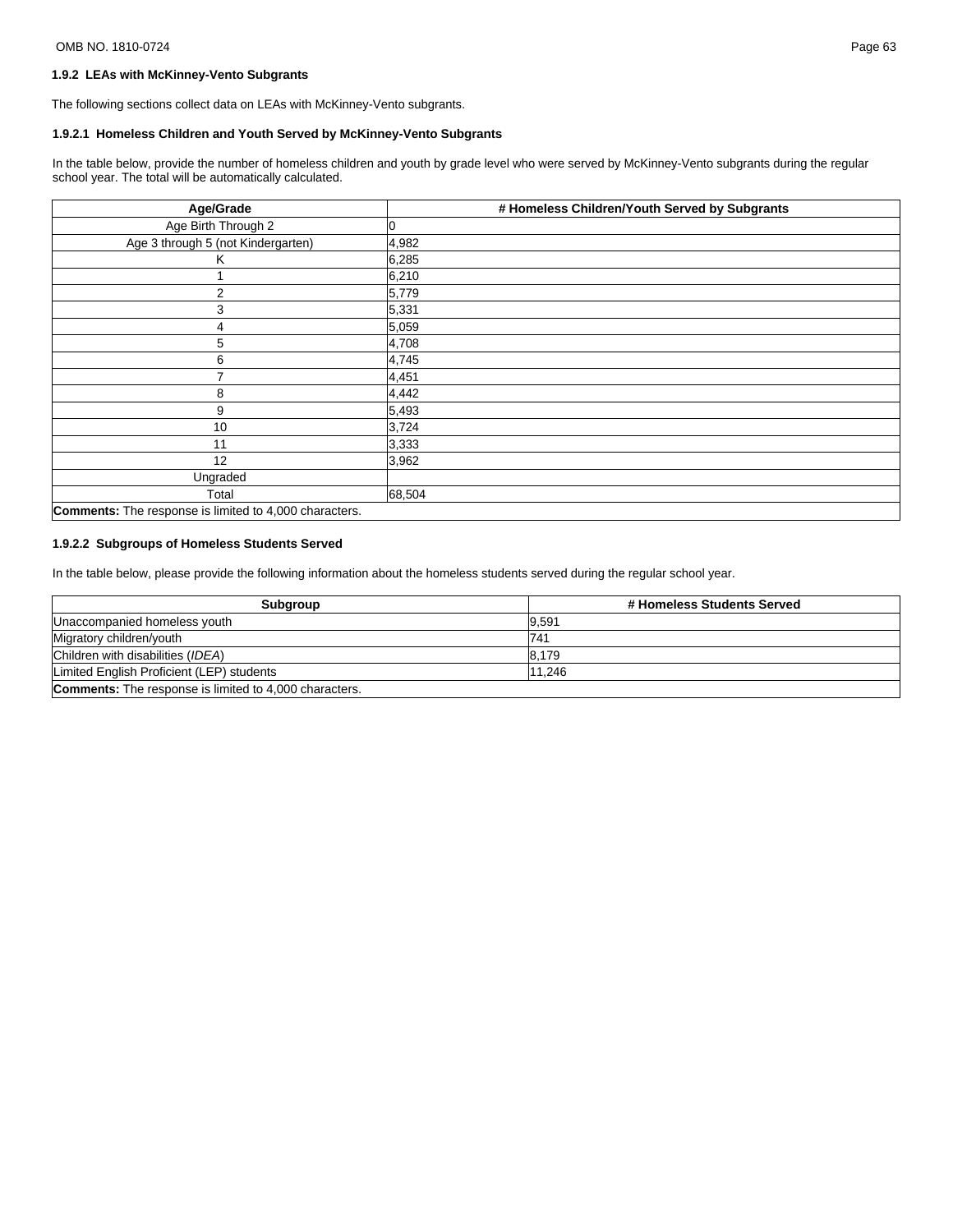# **1.9.2 LEAs with McKinney-Vento Subgrants**

The following sections collect data on LEAs with McKinney-Vento subgrants.

# **1.9.2.1 Homeless Children and Youth Served by McKinney-Vento Subgrants**

In the table below, provide the number of homeless children and youth by grade level who were served by McKinney-Vento subgrants during the regular school year. The total will be automatically calculated.

| Age/Grade                                                     | # Homeless Children/Youth Served by Subgrants |
|---------------------------------------------------------------|-----------------------------------------------|
| Age Birth Through 2                                           | 0                                             |
| Age 3 through 5 (not Kindergarten)                            | 4,982                                         |
| Κ                                                             | 6,285                                         |
|                                                               | 6,210                                         |
| 2                                                             | 5,779                                         |
| 3                                                             | 5,331                                         |
| 4                                                             | 5,059                                         |
| 5                                                             | 4,708                                         |
| 6                                                             | 4,745                                         |
|                                                               | 4,451                                         |
| 8                                                             | 4,442                                         |
| 9                                                             | 5,493                                         |
| 10                                                            | 3,724                                         |
| 11                                                            | 3,333                                         |
| 12                                                            | 3,962                                         |
| Ungraded                                                      |                                               |
| Total                                                         | 68,504                                        |
| <b>Comments:</b> The response is limited to 4,000 characters. |                                               |

# **1.9.2.2 Subgroups of Homeless Students Served**

In the table below, please provide the following information about the homeless students served during the regular school year.

| Subgroup                                                      | # Homeless Students Served |
|---------------------------------------------------------------|----------------------------|
| Unaccompanied homeless youth                                  | 9.591                      |
| Migratory children/youth                                      | 741                        |
| Children with disabilities (IDEA)                             | 8.179                      |
| Limited English Proficient (LEP) students                     | 11.246                     |
| <b>Comments:</b> The response is limited to 4,000 characters. |                            |